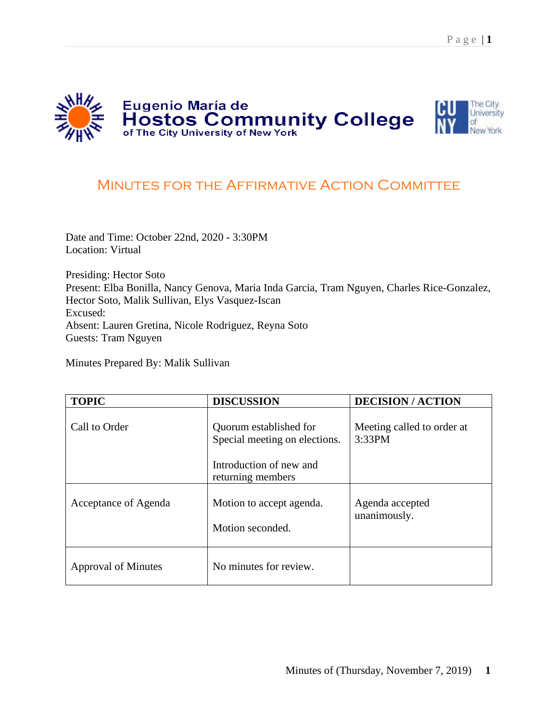

## MINUTES FOR THE AFFIRMATIVE ACTION COMMITTEE

Date and Time: October 22nd, 2020 - 3:30PM Location: Virtual

Presiding: Hector Soto Present: Elba Bonilla, Nancy Genova, Maria Inda Garcia, Tram Nguyen, Charles Rice-Gonzalez, Hector Soto, Malik Sullivan, Elys Vasquez-Iscan Excused: Absent: Lauren Gretina, Nicole Rodriguez, Reyna Soto Guests: Tram Nguyen

Minutes Prepared By: Malik Sullivan

| <b>TOPIC</b>         | <b>DISCUSSION</b>                                       | <b>DECISION/ACTION</b>               |
|----------------------|---------------------------------------------------------|--------------------------------------|
| Call to Order        | Quorum established for<br>Special meeting on elections. | Meeting called to order at<br>3:33PM |
|                      | Introduction of new and<br>returning members            |                                      |
| Acceptance of Agenda | Motion to accept agenda.<br>Motion seconded.            | Agenda accepted<br>unanimously.      |
| Approval of Minutes  | No minutes for review.                                  |                                      |